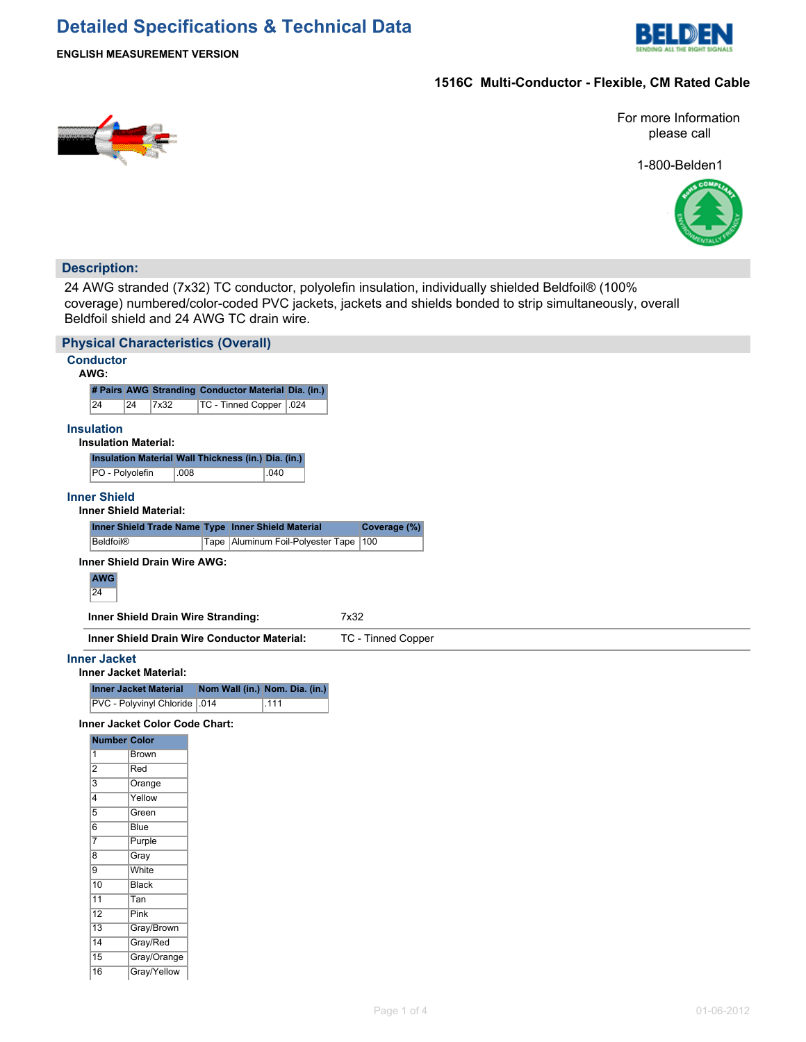# **Detailed Specifications & Technical Data**



### **ENGLISH MEASUREMENT VERSION**

# **1516C Multi-Conductor - Flexible, CM Rated Cable**



For more Information please call

1-800-Belden1



## **Description:**

24 AWG stranded (7x32) TC conductor, polyolefin insulation, individually shielded Beldfoil® (100% coverage) numbered/color-coded PVC jackets, jackets and shields bonded to strip simultaneously, overall Beldfoil shield and 24 AWG TC drain wire.

|                                  | <b>Physical Characteristics (Overall)</b> |                                                                          |  |  |  |  |  |  |  |
|----------------------------------|-------------------------------------------|--------------------------------------------------------------------------|--|--|--|--|--|--|--|
| <b>Conductor</b>                 |                                           |                                                                          |  |  |  |  |  |  |  |
| AWG:                             |                                           |                                                                          |  |  |  |  |  |  |  |
|                                  |                                           | # Pairs AWG Stranding Conductor Material Dia. (in.)                      |  |  |  |  |  |  |  |
| 24                               | 24<br>7x32                                | TC - Tinned Copper .024                                                  |  |  |  |  |  |  |  |
| <b>Insulation</b>                |                                           |                                                                          |  |  |  |  |  |  |  |
|                                  | <b>Insulation Material:</b>               |                                                                          |  |  |  |  |  |  |  |
|                                  |                                           | Insulation Material Wall Thickness (in.) Dia. (in.)                      |  |  |  |  |  |  |  |
|                                  | PO - Polyolefin<br>.008                   | .040                                                                     |  |  |  |  |  |  |  |
|                                  |                                           |                                                                          |  |  |  |  |  |  |  |
| <b>Inner Shield</b>              | <b>Inner Shield Material:</b>             |                                                                          |  |  |  |  |  |  |  |
|                                  |                                           | Inner Shield Trade Name Type Inner Shield Material<br>Coverage (%)       |  |  |  |  |  |  |  |
| <b>Beldfoil®</b>                 |                                           | Tape Aluminum Foil-Polyester Tape<br>100                                 |  |  |  |  |  |  |  |
|                                  |                                           |                                                                          |  |  |  |  |  |  |  |
|                                  | Inner Shield Drain Wire AWG:              |                                                                          |  |  |  |  |  |  |  |
| <b>AWG</b>                       |                                           |                                                                          |  |  |  |  |  |  |  |
| 24                               |                                           |                                                                          |  |  |  |  |  |  |  |
|                                  | Inner Shield Drain Wire Stranding:        | 7x32                                                                     |  |  |  |  |  |  |  |
|                                  |                                           | Inner Shield Drain Wire Conductor Material:<br><b>TC - Tinned Copper</b> |  |  |  |  |  |  |  |
|                                  |                                           |                                                                          |  |  |  |  |  |  |  |
| <b>Inner Jacket</b>              |                                           |                                                                          |  |  |  |  |  |  |  |
|                                  | <b>Inner Jacket Material:</b>             |                                                                          |  |  |  |  |  |  |  |
|                                  | <b>Inner Jacket Material</b>              | Nom Wall (in.) Nom. Dia. (in.)                                           |  |  |  |  |  |  |  |
|                                  | PVC - Polyvinyl Chloride   014            | .111                                                                     |  |  |  |  |  |  |  |
|                                  | Inner Jacket Color Code Chart:            |                                                                          |  |  |  |  |  |  |  |
|                                  | <b>Number Color</b>                       |                                                                          |  |  |  |  |  |  |  |
| $\overline{1}$                   | Brown                                     |                                                                          |  |  |  |  |  |  |  |
| $\overline{2}$                   | Red                                       |                                                                          |  |  |  |  |  |  |  |
| $\overline{3}$<br>$\overline{4}$ | Orange<br>Yellow                          |                                                                          |  |  |  |  |  |  |  |
| $\overline{5}$                   | Green                                     |                                                                          |  |  |  |  |  |  |  |
| 6                                | Blue                                      |                                                                          |  |  |  |  |  |  |  |
| $\overline{7}$                   | Purple                                    |                                                                          |  |  |  |  |  |  |  |
| $\overline{8}$                   | Gray                                      |                                                                          |  |  |  |  |  |  |  |
| 9                                | White                                     |                                                                          |  |  |  |  |  |  |  |
| $\overline{10}$                  | <b>Black</b>                              |                                                                          |  |  |  |  |  |  |  |
| 11                               | Tan                                       |                                                                          |  |  |  |  |  |  |  |
| 12                               | Pink                                      |                                                                          |  |  |  |  |  |  |  |
| $\overline{13}$                  | Gray/Brown                                |                                                                          |  |  |  |  |  |  |  |
| $\overline{14}$                  | Gray/Red                                  |                                                                          |  |  |  |  |  |  |  |
| 15                               | Gray/Orange                               |                                                                          |  |  |  |  |  |  |  |
| 16                               | Gray/Yellow                               |                                                                          |  |  |  |  |  |  |  |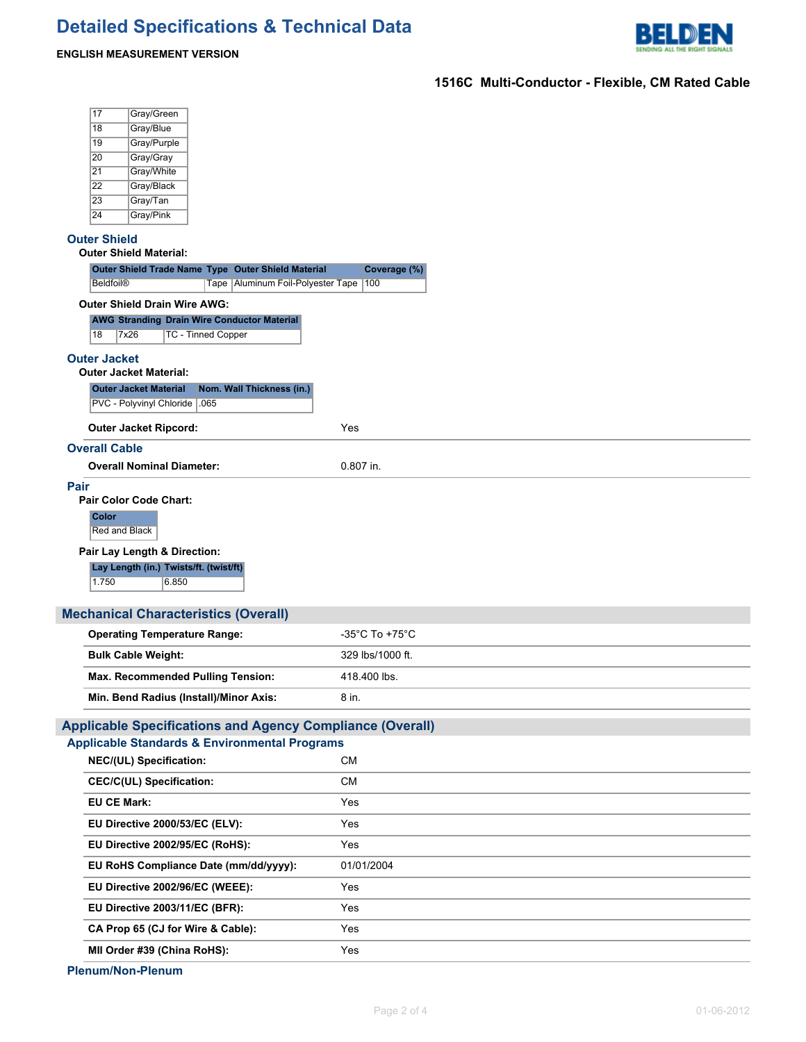

# **ENGLISH MEASUREMENT VERSION**

# **1516C Multi-Conductor - Flexible, CM Rated Cable**

|      | 17                                 | Gray/Green                             |                                                                                 |                                                                  |
|------|------------------------------------|----------------------------------------|---------------------------------------------------------------------------------|------------------------------------------------------------------|
|      | 18                                 | Gray/Blue                              |                                                                                 |                                                                  |
|      | 19                                 | Gray/Purple                            |                                                                                 |                                                                  |
|      | 20                                 | Gray/Gray                              |                                                                                 |                                                                  |
|      | 21                                 | Gray/White                             |                                                                                 |                                                                  |
|      | $\overline{22}$<br>$\overline{23}$ | Gray/Black                             |                                                                                 |                                                                  |
|      | 24                                 | Gray/Tan<br>Gray/Pink                  |                                                                                 |                                                                  |
|      |                                    |                                        |                                                                                 |                                                                  |
|      | <b>Outer Shield</b>                | <b>Outer Shield Material:</b>          |                                                                                 |                                                                  |
|      |                                    |                                        | Outer Shield Trade Name Type Outer Shield Material                              | Coverage (%)                                                     |
|      | <b>Beldfoil®</b>                   |                                        | Tape Aluminum Foil-Polyester Tape                                               | 100                                                              |
|      |                                    | <b>Outer Shield Drain Wire AWG:</b>    |                                                                                 |                                                                  |
|      | 18                                 | 7x26                                   | <b>AWG Stranding Drain Wire Conductor Material</b><br><b>TC - Tinned Copper</b> |                                                                  |
|      | <b>Outer Jacket</b>                |                                        |                                                                                 |                                                                  |
|      |                                    | <b>Outer Jacket Material:</b>          |                                                                                 |                                                                  |
|      |                                    | <b>Outer Jacket Material</b>           | Nom. Wall Thickness (in.)                                                       |                                                                  |
|      |                                    | PVC - Polyvinyl Chloride   .065        |                                                                                 |                                                                  |
|      |                                    | <b>Outer Jacket Ripcord:</b>           |                                                                                 | Yes                                                              |
|      |                                    |                                        |                                                                                 |                                                                  |
|      | <b>Overall Cable</b>               |                                        |                                                                                 |                                                                  |
|      |                                    | <b>Overall Nominal Diameter:</b>       |                                                                                 | 0.807 in.                                                        |
| Pair |                                    | <b>Pair Color Code Chart:</b>          |                                                                                 |                                                                  |
|      | <b>Color</b>                       |                                        |                                                                                 |                                                                  |
|      | Red and Black                      |                                        |                                                                                 |                                                                  |
|      |                                    | Pair Lay Length & Direction:           |                                                                                 |                                                                  |
|      |                                    | Lay Length (in.) Twists/ft. (twist/ft) |                                                                                 |                                                                  |
|      | 1.750                              | 6.850                                  |                                                                                 |                                                                  |
|      |                                    |                                        |                                                                                 |                                                                  |
|      |                                    |                                        | <b>Mechanical Characteristics (Overall)</b>                                     |                                                                  |
|      |                                    | <b>Operating Temperature Range:</b>    |                                                                                 | $-35^{\circ}$ C To +75 $^{\circ}$ C                              |
|      |                                    | <b>Bulk Cable Weight:</b>              |                                                                                 | 329 lbs/1000 ft.                                                 |
|      |                                    |                                        | Max. Recommended Pulling Tension:                                               | 418.400 lbs.                                                     |
|      |                                    |                                        | Min. Bend Radius (Install)/Minor Axis:                                          | 8 in.                                                            |
|      |                                    |                                        |                                                                                 | <b>Applicable Specifications and Agency Compliance (Overall)</b> |
|      |                                    |                                        | <b>Applicable Standards &amp; Environmental Programs</b>                        |                                                                  |
|      |                                    | NEC/(UL) Specification:                |                                                                                 | <b>CM</b>                                                        |
|      |                                    |                                        |                                                                                 |                                                                  |
|      |                                    | <b>CEC/C(UL) Specification:</b>        |                                                                                 | CM                                                               |
|      | EU CE Mark:                        |                                        |                                                                                 | Yes                                                              |
|      |                                    | EU Directive 2000/53/EC (ELV):         |                                                                                 | Yes                                                              |
|      |                                    | EU Directive 2002/95/EC (RoHS):        |                                                                                 | Yes                                                              |
|      |                                    |                                        | EU RoHS Compliance Date (mm/dd/yyyy):                                           | 01/01/2004                                                       |
|      |                                    | EU Directive 2002/96/EC (WEEE):        |                                                                                 | Yes                                                              |
|      |                                    | EU Directive 2003/11/EC (BFR):         |                                                                                 | Yes                                                              |
|      |                                    |                                        | CA Prop 65 (CJ for Wire & Cable):                                               | Yes                                                              |
|      |                                    | MII Order #39 (China RoHS):            |                                                                                 | Yes                                                              |
|      |                                    |                                        |                                                                                 |                                                                  |

**Plenum/Non-Plenum**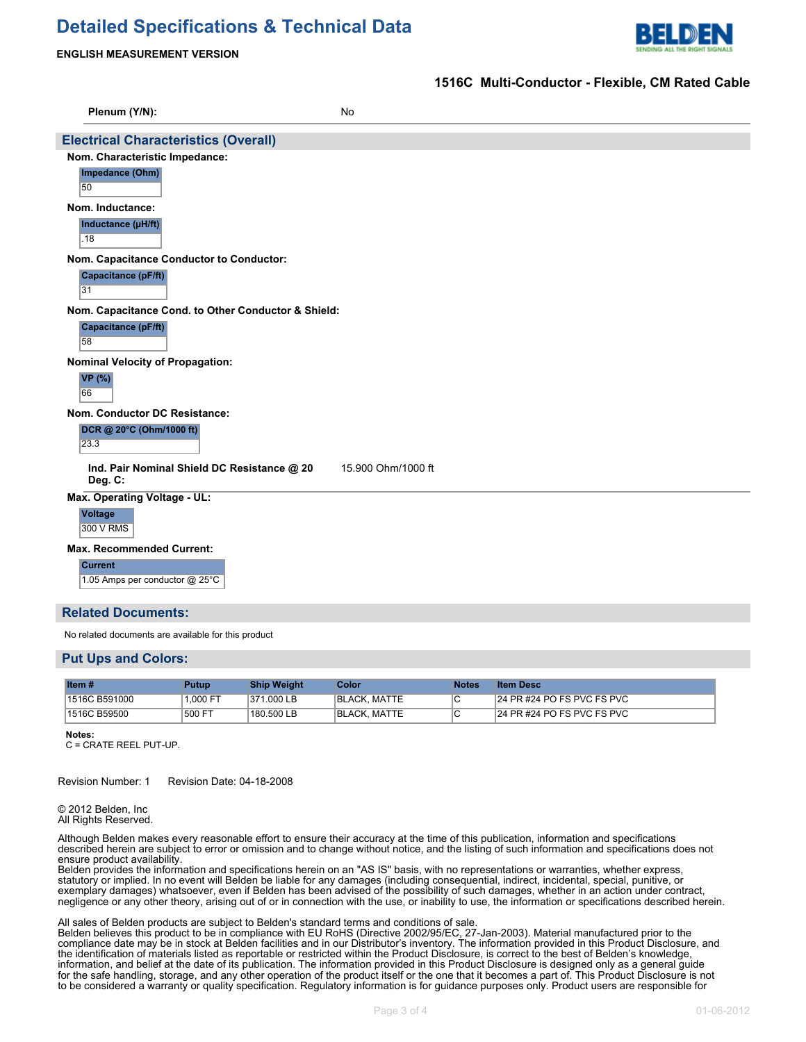# **Detailed Specifications & Technical Data**



**1516C Multi-Conductor - Flexible, CM Rated Cable**

#### **ENGLISH MEASUREMENT VERSION**

| Plenum (Y/N):                                    | No                                                                |  |  |  |  |  |  |  |  |
|--------------------------------------------------|-------------------------------------------------------------------|--|--|--|--|--|--|--|--|
|                                                  | <b>Electrical Characteristics (Overall)</b>                       |  |  |  |  |  |  |  |  |
| Nom. Characteristic Impedance:                   |                                                                   |  |  |  |  |  |  |  |  |
| Impedance (Ohm)<br>50                            |                                                                   |  |  |  |  |  |  |  |  |
| Nom. Inductance:                                 |                                                                   |  |  |  |  |  |  |  |  |
| Inductance (µH/ft)<br>.18                        |                                                                   |  |  |  |  |  |  |  |  |
| Nom. Capacitance Conductor to Conductor:         |                                                                   |  |  |  |  |  |  |  |  |
| Capacitance (pF/ft)<br>31                        |                                                                   |  |  |  |  |  |  |  |  |
|                                                  | Nom. Capacitance Cond. to Other Conductor & Shield:               |  |  |  |  |  |  |  |  |
| <b>Capacitance (pF/ft)</b><br>58                 |                                                                   |  |  |  |  |  |  |  |  |
| <b>Nominal Velocity of Propagation:</b>          |                                                                   |  |  |  |  |  |  |  |  |
| <b>VP</b> (%)<br>66                              |                                                                   |  |  |  |  |  |  |  |  |
| Nom. Conductor DC Resistance:                    |                                                                   |  |  |  |  |  |  |  |  |
| DCR @ 20°C (Ohm/1000 ft)<br>23.3                 |                                                                   |  |  |  |  |  |  |  |  |
| Deg. C:                                          | Ind. Pair Nominal Shield DC Resistance @ 20<br>15.900 Ohm/1000 ft |  |  |  |  |  |  |  |  |
| Max. Operating Voltage - UL:                     |                                                                   |  |  |  |  |  |  |  |  |
| <b>Voltage</b><br>300 V RMS                      |                                                                   |  |  |  |  |  |  |  |  |
| <b>Max. Recommended Current:</b>                 |                                                                   |  |  |  |  |  |  |  |  |
| <b>Current</b><br>1.05 Amps per conductor @ 25°C |                                                                   |  |  |  |  |  |  |  |  |
| <b>Related Documents:</b>                        |                                                                   |  |  |  |  |  |  |  |  |

No related documents are available for this product

#### **Put Ups and Colors:**

| Item $#$      | <b>Putup</b> | <b>Ship Weight</b> | Color        | <b>Notes</b> | <b>Item Desc</b>              |
|---------------|--------------|--------------------|--------------|--------------|-------------------------------|
| 1516C B591000 | 1.000 FT     | 371.000 LB         | BLACK, MATTE |              | 24 PR #24 PO FS PVC FS PVC    |
| 1516C B59500  | 500 FT       | 180.500 LB         | BLACK, MATTE |              | $124$ PR #24 PO FS PVC FS PVC |

**Notes:**

C = CRATE REEL PUT-UP.

Revision Number: 1 Revision Date: 04-18-2008

© 2012 Belden, Inc All Rights Reserved.

Although Belden makes every reasonable effort to ensure their accuracy at the time of this publication, information and specifications described herein are subject to error or omission and to change without notice, and the listing of such information and specifications does not ensure product availability.

Belden provides the information and specifications herein on an "AS IS" basis, with no representations or warranties, whether express, statutory or implied. In no event will Belden be liable for any damages (including consequential, indirect, incidental, special, punitive, or exemplary damages) whatsoever, even if Belden has been advised of the possibility of such damages, whether in an action under contract, negligence or any other theory, arising out of or in connection with the use, or inability to use, the information or specifications described herein.

All sales of Belden products are subject to Belden's standard terms and conditions of sale.

Belden believes this product to be in compliance with EU RoHS (Directive 2002/95/EC, 27-Jan-2003). Material manufactured prior to the compliance date may be in stock at Belden facilities and in our Distributor's inventory. The information provided in this Product Disclosure, and the identification of materials listed as reportable or restricted within the Product Disclosure, is correct to the best of Belden's knowledge, information, and belief at the date of its publication. The information provided in this Product Disclosure is designed only as a general guide for the safe handling, storage, and any other operation of the product itself or the one that it becomes a part of. This Product Disclosure is not to be considered a warranty or quality specification. Regulatory information is for guidance purposes only. Product users are responsible for